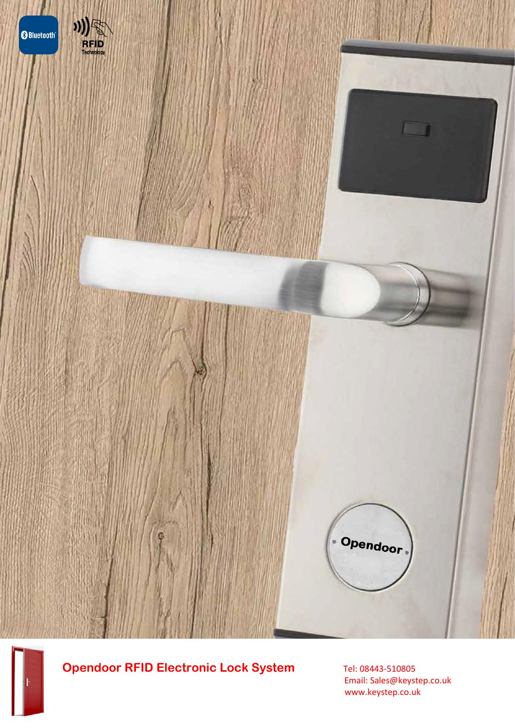

# **Opendoor RFID Electronic Lock System** Tel: 08443-510805

 Email: Sales@keystep.co.uk www.keystep.co.uk